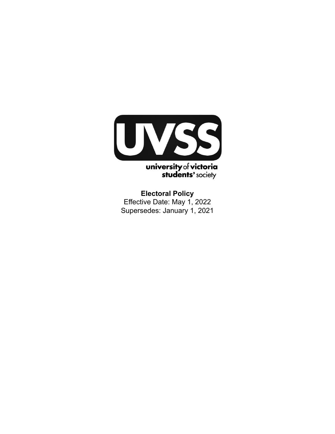

**Electoral Policy** Effective Date: May 1, 2022 Supersedes: January 1, 2021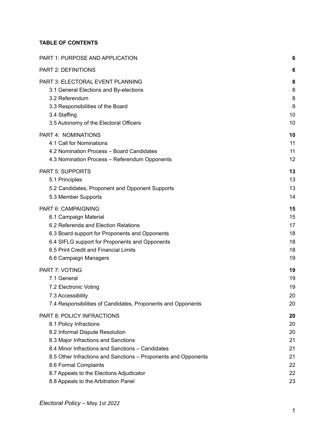# **TABLE OF CONTENTS**

| PART 1: PURPOSE AND APPLICATION                                | 6  |
|----------------------------------------------------------------|----|
| <b>PART 2: DEFINITIONS</b>                                     | 6  |
| PART 3: ELECTORAL EVENT PLANNING                               | 8  |
| 3.1 General Elections and By-elections                         | 8  |
| 3.2 Referendum                                                 | 8  |
| 3.3 Responsibilities of the Board                              | 9  |
| 3.4 Staffing                                                   | 10 |
| 3.5 Autonomy of the Electoral Officers                         | 10 |
| PART 4: NOMINATIONS                                            | 10 |
| 4.1 Call for Nominations                                       | 11 |
| 4.2 Nomination Process - Board Candidates                      | 11 |
| 4.3 Nomination Process - Referendum Opponents                  | 12 |
| <b>PART 5: SUPPORTS</b>                                        | 13 |
| 5.1 Principles                                                 | 13 |
| 5.2 Candidates, Proponent and Opponent Supports                | 13 |
| 5.3 Member Supports                                            | 14 |
| PART 6: CAMPAIGNING                                            | 15 |
| 6.1 Campaign Material                                          | 15 |
| 6.2 Referenda and Election Relations                           | 17 |
| 6.3 Board support for Proponents and Opponents                 | 18 |
| 6.4 SIFLG support for Proponents and Opponents                 | 18 |
| 6.5 Print Credit and Financial Limits                          | 18 |
| 6.6 Campaign Managers                                          | 19 |
| PART 7: VOTING                                                 | 19 |
| 7.1 General                                                    | 19 |
| 7.2 Electronic Voting                                          | 19 |
| 7.3 Accessibility                                              | 20 |
| 7.4 Responsibilities of Candidates, Proponents and Opponents   | 20 |
| PART 8: POLICY INFRACTIONS                                     | 20 |
| 8.1 Policy Infractions                                         | 20 |
| 8.2 Informal Dispute Resolution                                | 20 |
| 8.3 Major Infractions and Sanctions                            | 21 |
| 8.4 Minor Infractions and Sanctions - Candidates               | 21 |
| 8.5 Other Infractions and Sanctions - Proponents and Opponents | 21 |
| 8.6 Formal Complaints                                          | 22 |
| 8.7 Appeals to the Elections Adjudicator                       | 22 |
| 8.8 Appeals to the Arbitration Panel                           | 23 |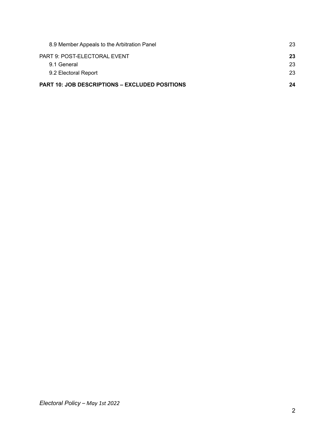| 8.9 Member Appeals to the Arbitration Panel    | 23 |
|------------------------------------------------|----|
| PART 9: POST-ELECTORAL EVENT                   | 23 |
| 9.1 General                                    | 23 |
| 9.2 Electoral Report                           | 23 |
| PART 10: JOB DESCRIPTIONS – EXCLUDED POSITIONS | 24 |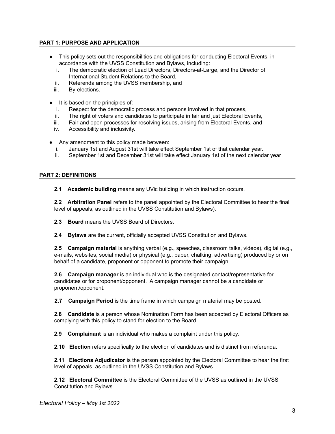# <span id="page-3-0"></span>**PART 1: PURPOSE AND APPLICATION**

- This policy sets out the responsibilities and obligations for conducting Electoral Events, in accordance with the UVSS Constitution and Bylaws, including:
	- i. The democratic election of Lead Directors, Directors-at-Large, and the Director of International Student Relations to the Board,
	- ii. Referenda among the UVSS membership, and
	- iii. By-elections.
- It is based on the principles of:
	- i. Respect for the democratic process and persons involved in that process,
	- ii. The right of voters and candidates to participate in fair and just Electoral Events,
	- iii. Fair and open processes for resolving issues, arising from Electoral Events, and
	- iv. Accessibility and inclusivity.
- Any amendment to this policy made between:
	- i. January 1st and August 31st will take effect September 1st of that calendar year.
	- ii. September 1st and December 31st will take effect January 1st of the next calendar year

#### <span id="page-3-1"></span>**PART 2: DEFINITIONS**

**2.1 Academic building** means any UVic building in which instruction occurs.

**2.2 Arbitration Panel** refers to the panel appointed by the Electoral Committee to hear the final level of appeals, as outlined in the UVSS Constitution and Bylaws).

**2.3 Board** means the UVSS Board of Directors.

**2.4 Bylaws** are the current, officially accepted UVSS Constitution and Bylaws.

**2.5 Campaign material** is anything verbal (e.g., speeches, classroom talks, videos), digital (e.g., e-mails, websites, social media) or physical (e.g., paper, chalking, advertising) produced by or on behalf of a candidate, proponent or opponent to promote their campaign.

**2.6 Campaign manager** is an individual who is the designated contact/representative for candidates or for proponent/opponent. A campaign manager cannot be a candidate or proponent/opponent.

**2.7 Campaign Period** is the time frame in which campaign material may be posted.

**2.8 Candidate** is a person whose Nomination Form has been accepted by Electoral Officers as complying with this policy to stand for election to the Board.

**2.9 Complainant** is an individual who makes a complaint under this policy.

**2.10 Election** refers specifically to the election of candidates and is distinct from referenda.

**2.11 Elections Adjudicator** is the person appointed by the Electoral Committee to hear the first level of appeals, as outlined in the UVSS Constitution and Bylaws.

**2.12 Electoral Committee** is the Electoral Committee of the UVSS as outlined in the UVSS Constitution and Bylaws.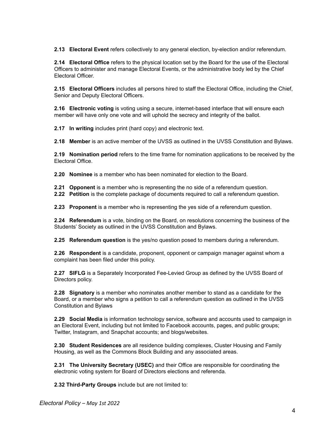**2.13 Electoral Event** refers collectively to any general election, by-election and/or referendum.

**2.14 Electoral Office** refers to the physical location set by the Board for the use of the Electoral Officers to administer and manage Electoral Events, or the administrative body led by the Chief Electoral Officer.

**2.15 Electoral Officers** includes all persons hired to staff the Electoral Office, including the Chief, Senior and Deputy Electoral Officers.

**2.16 Electronic voting** is voting using a secure, internet-based interface that will ensure each member will have only one vote and will uphold the secrecy and integrity of the ballot.

**2.17 In writing** includes print (hard copy) and electronic text.

**2.18 Member** is an active member of the UVSS as outlined in the UVSS Constitution and Bylaws.

**2.19 Nomination period** refers to the time frame for nomination applications to be received by the Electoral Office.

**2.20 Nominee** is a member who has been nominated for election to the Board.

- **2.21 Opponent** is a member who is representing the no side of a referendum question.
- **2.22 Petition** is the complete package of documents required to call a referendum question.

**2.23 Proponent** is a member who is representing the yes side of a referendum question.

**2.24 Referendum** is a vote, binding on the Board, on resolutions concerning the business of the Students' Society as outlined in the UVSS Constitution and Bylaws.

**2.25 Referendum question** is the yes/no question posed to members during a referendum.

**2.26 Respondent** is a candidate, proponent, opponent or campaign manager against whom a complaint has been filed under this policy.

**2.27 SIFLG** is a Separately Incorporated Fee-Levied Group as defined by the UVSS Board of Directors policy.

**2.28 Signatory** is a member who nominates another member to stand as a candidate for the Board, or a member who signs a petition to call a referendum question as outlined in the UVSS Constitution and Bylaws

**2.29 Social Media** is information technology service, software and accounts used to campaign in an Electoral Event, including but not limited to Facebook accounts, pages, and public groups; Twitter, Instagram, and Snapchat accounts; and blogs/websites.

**2.30 Student Residences** are all residence building complexes, Cluster Housing and Family Housing, as well as the Commons Block Building and any associated areas.

**2.31 The University Secretary (USEC)** and their Office are responsible for coordinating the electronic voting system for Board of Directors elections and referenda.

**2.32 Third-Party Groups** include but are not limited to: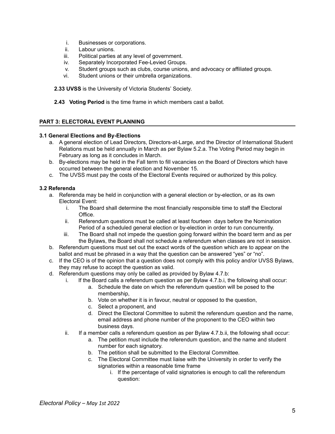- i. Businesses or corporations.
- ii. Labour unions.
- iii. Political parties at any level of government.
- iv. Separately Incorporated Fee-Levied Groups.
- v. Student groups such as clubs, course unions, and advocacy or affiliated groups.
- vi. Student unions or their umbrella organizations.

**2.33 UVSS** is the University of Victoria Students' Society.

**2.43 Voting Period** is the time frame in which members cast a ballot.

#### <span id="page-5-0"></span>**PART 3: ELECTORAL EVENT PLANNING**

#### <span id="page-5-1"></span>**3.1 General Elections and By-Elections**

- a. A general election of Lead Directors, Directors-at-Large, and the Director of International Student Relations must be held annually in March as per Bylaw 5.2.a. The Voting Period may begin in February as long as it concludes in March.
- b. By-elections may be held in the Fall term to fill vacancies on the Board of Directors which have occurred between the general election and November 15.
- c. The UVSS must pay the costs of the Electoral Events required or authorized by this policy.

# <span id="page-5-2"></span>**3.2 Referenda**

- a. Referenda may be held in conjunction with a general election or by-election, or as its own Electoral Event:
	- i. The Board shall determine the most financially responsible time to staff the Electoral Office.
	- ii. Referendum questions must be called at least fourteen days before the Nomination Period of a scheduled general election or by-election in order to run concurrently.
	- iii. The Board shall not impede the question going forward within the board term and as per the Bylaws, the Board shall not schedule a referendum when classes are not in session.
- b. Referendum questions must set out the exact words of the question which are to appear on the ballot and must be phrased in a way that the question can be answered "yes" or "no".
- c. If the CEO is of the opinion that a question does not comply with this policy and/or UVSS Bylaws, they may refuse to accept the question as valid.
- d. Referendum questions may only be called as provided by Bylaw 4.7.b:
	- i. If the Board calls a referendum question as per Bylaw 4.7.b.i, the following shall occur:
		- a. Schedule the date on which the referendum question will be posed to the membership,
		- b. Vote on whether it is in favour, neutral or opposed to the question,
		- c. Select a proponent, and
		- d. Direct the Electoral Committee to submit the referendum question and the name, email address and phone number of the proponent to the CEO within two business days.
	- ii. If a member calls a referendum question as per Bylaw 4.7.b.ii, the following shall occur:
		- a. The petition must include the referendum question, and the name and student number for each signatory.
		- b. The petition shall be submitted to the Electoral Committee.
		- c. The Electoral Committee must liaise with the University in order to verify the signatories within a reasonable time frame
			- i. If the percentage of valid signatories is enough to call the referendum question: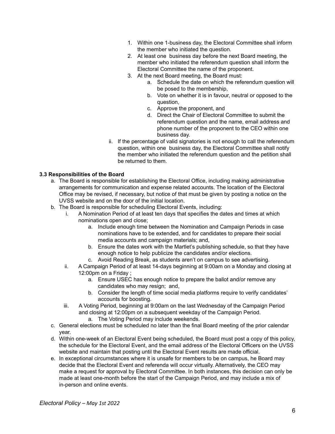- 1. Within one 1-business day, the Electoral Committee shall inform the member who initiated the question.
- 2. At least one business day before the next Board meeting, the member who initiated the referendum question shall inform the Electoral Committee the name of the proponent.
- 3. At the next Board meeting, the Board must:
	- a. Schedule the date on which the referendum question will be posed to the membership,
	- b. Vote on whether it is in favour, neutral or opposed to the question,
	- c. Approve the proponent, and
	- d. Direct the Chair of Electoral Committee to submit the referendum question and the name, email address and phone number of the proponent to the CEO within one business day.
- ii. If the percentage of valid signatories is not enough to call the referendum question, within one business day, the Electoral Committee shall notify the member who initiated the referendum question and the petition shall be returned to them.

# <span id="page-6-0"></span>**3.3 Responsibilities of the Board**

- a. The Board is responsible for establishing the Electoral Office, including making administrative arrangements for communication and expense related accounts. The location of the Electoral Office may be revised, if necessary, but notice of that must be given by posting a notice on the UVSS website and on the door of the initial location.
- b. The Board is responsible for scheduling Electoral Events, including:
	- i. A Nomination Period of at least ten days that specifies the dates and times at which nominations open and close;
		- a. Include enough time between the Nomination and Campaign Periods in case nominations have to be extended, and for candidates to prepare their social media accounts and campaign materials; and,
		- b. Ensure the dates work with the Martlet's publishing schedule, so that they have enough notice to help publicize the candidates and/or elections.
		- c. Avoid Reading Break, as students aren't on campus to see advertising.
	- ii. A Campaign Period of at least 14-days beginning at 9:00am on a Monday and closing at 12:00pm on a Friday ;
		- a. Ensure USEC has enough notice to prepare the ballot and/or remove any candidates who may resign; and,
		- b. Consider the length of time social media platforms require to verify candidates' accounts for boosting.
	- iii. A Voting Period, beginning at 9:00am on the last Wednesday of the Campaign Period and closing at 12:00pm on a subsequent weekday of the Campaign Period. a. The Voting Period may include weekends.
- c. General elections must be scheduled no later than the final Board meeting of the prior calendar year.
- d. Within one-week of an Electoral Event being scheduled, the Board must post a copy of this policy, the schedule for the Electoral Event, and the email address of the Electoral Officers on the UVSS website and maintain that posting until the Electoral Event results are made official.
- e. In exceptional circumstances where it is unsafe for members to be on campus, he Board may decide that the Electoral Event and referenda will occur virtually. Alternatively, the CEO may make a request for approval by Electoral Committee. In both instances, this decision can only be made at least one-month before the start of the Campaign Period, and may include a mix of in-person and online events.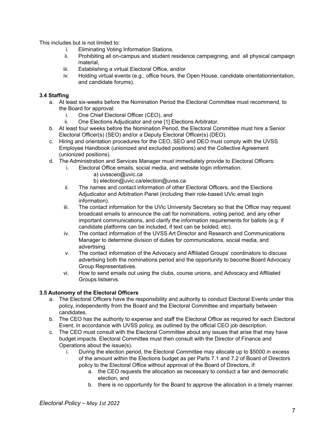This includes but is not limited to:

- i. Eliminating Voting Information Stations,
- ii. Prohibiting all on-campus and student residence campaigning, and all physical campaign material,
- iii. Establishing a virtual Electoral Office, and/or
- iv. Holding virtual events (e.g., office hours, the Open House, candidate orientationrientation, and candidate forums).

# <span id="page-7-0"></span>**3.4 Staffing**

- a. At least six-weeks before the Nomination Period the Electoral Committee must recommend, to the Board for approval:
	- i. One Chief Electoral Officer (CEO), and
	- ii. One Elections Adjudicator and one [1] Elections Arbitrator.
- b. At least four weeks before the Nomination Period, the Electoral Committee must hire a Senior Electoral Officer(s) (SEO) and/or a Deputy Electoral Officer(s) (DEO).
- c. Hiring and orientation procedures for the CEO, SEO and DEO must comply with the UVSS Employee Handbook (unionized and excluded positions) and the Collective Agreement (unionized positions).
- d. The Administration and Services Manager must immediately provide to Electoral Officers:
	- i. Electoral Office emails, social media, and website login information.
		- a) uvssceo@uvic.ca
		- b) election@uvic.ca/election@uvss.ca
		- ii. The names and contact information of other Electoral Officers, and the Elections Adjudicator and Arbitration Panel (including their role-based UVic email login information).
		- iii. The contact information for the UVic University Secretary so that the Office may request broadcast emails to announce the call for nominations, voting period, and any other important communications, and clarify the information requirements for ballots (e.g. if candidate platforms can be included, if text can be bolded, etc).
		- iv. The contact information of the UVSS Art Director and Research and Communications Manager to determine division of duties for communications, social media, and advertising.
		- v. The contact information of the Advocacy and Affiliated Groups' coordinators to discuss advertising both the nominations period and the opportunity to become Board Advocacy Group Representatives.
		- vi. How to send emails out using the clubs, course unions, and Advocacy and Affiliated Groups listservs.

# <span id="page-7-1"></span>**3.5 Autonomy of the Electoral Officers**

- a. The Electoral Officers have the responsibility and authority to conduct Electoral Events under this policy, independently from the Board and the Electoral Committee and impartially between candidates.
- b. The CEO has the authority to expense and staff the Electoral Office as required for each Electoral Event, in accordance with UVSS policy, as outlined by the official CEO job description.
- c. The CEO must consult with the Electoral Committee about any issues that arise that may have budget impacts. Electoral Committee must then consult with the Director of Finance and Operations about the issue(s).
	- i. During the election period, the Electoral Committee may allocate up to \$5000 in excess of the amount within the Elections budget as per Parts 7.1 and 7.2 of Board of Directors policy to the Electoral Office without approval of the Board of Directors, if:
		- a. the CEO requests the allocation as necessary to conduct a fair and democratic election, and
		- b. there is no opportunity for the Board to approve the allocation in a timely manner.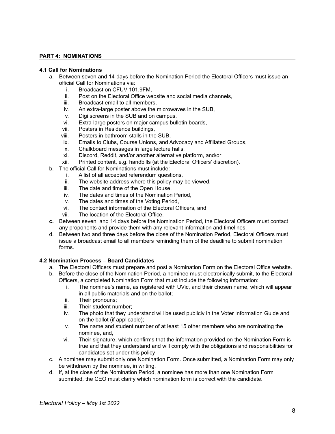# <span id="page-8-0"></span>**PART 4: NOMINATIONS**

#### <span id="page-8-1"></span>**4.1 Call for Nominations**

- a. Between seven and 14-days before the Nomination Period the Electoral Officers must issue an official Call for Nominations via:
	- i. Broadcast on CFUV 101.9FM,
	- ii. Post on the Electoral Office website and social media channels,
	- iii. Broadcast email to all members,
	- iv. An extra-large poster above the microwaves in the SUB,
	- v. Digi screens in the SUB and on campus,
	- vi. Extra-large posters on major campus bulletin boards,
	- vii. Posters in Residence buildings,
	- viii. Posters in bathroom stalls in the SUB,
	- ix. Emails to Clubs, Course Unions, and Advocacy and Affiliated Groups,
	- x. Chalkboard messages in large lecture halls,
	- xi. Discord, Reddit, and/or another alternative platform, and/or
	- xii. Printed content, e.g. handbills (at the Electoral Officers' discretion).
- b. The official Call for Nominations must include:
	- i. A list of all accepted referendum questions,
	- ii. The website address where this policy may be viewed,
	- iii. The date and time of the Open House,
	- iv. The dates and times of the Nomination Period,
	- v. The dates and times of the Voting Period,
	- vi. The contact information of the Electoral Officers, and
	- vii. The location of the Electoral Office.
- **c.** Between seven and 14 days before the Nomination Period, the Electoral Officers must contact any proponents and provide them with any relevant information and timelines.
- d. Between two and three days before the close of the Nomination Period, Electoral Officers must issue a broadcast email to all members reminding them of the deadline to submit nomination forms.

#### <span id="page-8-2"></span>**4.2 Nomination Process – Board Candidates**

- a. The Electoral Officers must prepare and post a Nomination Form on the Electoral Office website.
- b. Before the close of the Nomination Period, a nominee must electronically submit, to the Electoral Officers, a completed Nomination Form that must include the following information:
	- i. The nominee's name, as registered with UVic, and their chosen name, which will appear in all public materials and on the ballot;
	- ii. Their pronouns;
	- iii. Their student number;
	- iv. The photo that they understand will be used publicly in the Voter Information Guide and on the ballot (if applicable);
	- v. The name and student number of at least 15 other members who are nominating the nominee, and,
	- vi. Their signature, which confirms that the information provided on the Nomination Form is true and that they understand and will comply with the obligations and responsibilities for candidates set under this policy
- c. A nominee may submit only one Nomination Form. Once submitted, a Nomination Form may only be withdrawn by the nominee, in writing.
- d. If, at the close of the Nomination Period, a nominee has more than one Nomination Form submitted, the CEO must clarify which nomination form is correct with the candidate.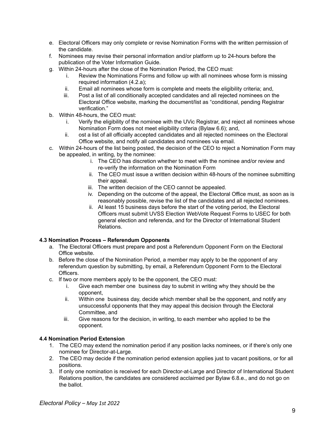- e. Electoral Officers may only complete or revise Nomination Forms with the written permission of the candidate.
- f. Nominees may revise their personal information and/or platform up to 24-hours before the publication of the Voter Information Guide.
- g. Within 24-hours after the close of the Nomination Period, the CEO must:
	- i. Review the Nominations Forms and follow up with all nominees whose form is missing required information (4.2.a);
	- ii. Email all nominees whose form is complete and meets the eligibility criteria; and,
	- iii. Post a list of all conditionally accepted candidates and all rejected nominees on the Electoral Office website, marking the document/list as "conditional, pending Registrar verification."
- b. Within 48-hours, the CEO must:
	- i. Verify the eligibility of the nominee with the UVic Registrar, and reject all nominees whose Nomination Form does not meet eligibility criteria (Bylaw 6.6); and,
	- ii. ost a list of all officially accepted candidates and all rejected nominees on the Electoral Office website, and notify all candidates and nominees via email.
- c. Within 24-hours of the list being posted, the decision of the CEO to reject a Nomination Form may be appealed, in writing, by the nominee:
	- i. The CEO has discretion whether to meet with the nominee and/or review and re-verify the information on the Nomination Form
	- ii. The CEO must issue a written decision within 48-hours of the nominee submitting their appeal.
	- iii. The written decision of the CEO cannot be appealed.
	- iv. Depending on the outcome of the appeal, the Electoral Office must, as soon as is reasonably possible, revise the list of the candidates and all rejected nominees.
	- ii. At least 15 business days before the start of the voting period, the Electoral Officers must submit UVSS Election WebVote Request Forms to USEC for both general election and referenda, and for the Director of International Student Relations.

# <span id="page-9-0"></span>**4.3 Nomination Process – Referendum Opponents**

- a. The Electoral Officers must prepare and post a Referendum Opponent Form on the Electoral Office website.
- b. Before the close of the Nomination Period, a member may apply to be the opponent of any referendum question by submitting, by email, a Referendum Opponent Form to the Electoral Officers.
- c. If two or more members apply to be the opponent, the CEO must:
	- i. Give each member one business day to submit in writing why they should be the opponent,
	- ii. Within one business day, decide which member shall be the opponent, and notify any unsuccessful opponents that they may appeal this decision through the Electoral Committee, and
	- iii. Give reasons for the decision, in writing, to each member who applied to be the opponent.

# **4.4 Nomination Period Extension**

- 1. The CEO may extend the nomination period if any position lacks nominees, or if there's only one nominee for Director-at-Large.
- 2. The CEO may decide if the nomination period extension applies just to vacant positions, or for all positions.
- 3. If only one nomination is received for each Director-at-Large and Director of International Student Relations position, the candidates are considered acclaimed per Bylaw 6.8.e., and do not go on the ballot.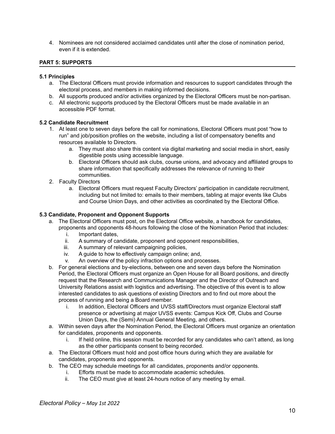4. Nominees are not considered acclaimed candidates until after the close of nomination period, even if it is extended.

#### <span id="page-10-0"></span>**PART 5: SUPPORTS**

#### <span id="page-10-1"></span>**5.1 Principles**

- a. The Electoral Officers must provide information and resources to support candidates through the electoral process, and members in making informed decisions.
- b. All supports produced and/or activities organized by the Electoral Officers must be non-partisan.
- c. All electronic supports produced by the Electoral Officers must be made available in an accessible PDF format.

#### <span id="page-10-2"></span>**5.2 Candidate Recruitment**

- 1. At least one to seven days before the call for nominations, Electoral Officers must post "how to run" and job/position profiles on the website, including a list of compensatory benefits and resources available to Directors.
	- a. They must also share this content via digital marketing and social media in short, easily digestible posts using accessible language.
	- b. Electoral Officers should ask clubs, course unions, and advocacy and affiliated groups to share information that specifically addresses the relevance of running to their communities.
- 2. Faculty Directors
	- a. Electoral Officers must request Faculty Directors' participation in candidate recruitment, including but not limited to: emails to their members, tabling at major events like Clubs and Course Union Days, and other activities as coordinated by the Electoral Office.

# <span id="page-10-3"></span>**5.3 Candidate, Proponent and Opponent Supports**

- a. The Electoral Officers must post, on the Electoral Office website, a handbook for candidates, proponents and opponents 48-hours following the close of the Nomination Period that includes:
	- i. Important dates,
	- ii. A summary of candidate, proponent and opponent responsibilities,
	- iii. A summary of relevant campaigning policies,
	- iv. A guide to how to effectively campaign online; and,
	- v. An overview of the policy infraction options and processes.
- b. For general elections and by-elections, between one and seven days before the Nomination Period, the Electoral Officers must organize an Open House for all Board positions, and directly request that the Research and Communications Manager and the Director of Outreach and University Relations assist with logistics and advertising. The objective of this event is to allow interested candidates to ask questions of existing Directors and to find out more about the process of running and being a Board member.
	- i. In addition, Electoral Officers and UVSS staff/Directors must organize Electoral staff presence or advertising at major UVSS events: Campus Kick Off, Clubs and Course Union Days, the (Semi) Annual General Meeting, and others.
- a. Within seven days after the Nomination Period, the Electoral Officers must organize an orientation for candidates, proponents and opponents.
	- i. If held online, this session must be recorded for any candidates who can't attend, as long as the other participants consent to being recorded.
- a. The Electoral Officers must hold and post office hours during which they are available for candidates, proponents and opponents.
- b. The CEO may schedule meetings for all candidates, proponents and/or opponents.
	- i. Efforts must be made to accommodate academic schedules.
	- ii. The CEO must give at least 24-hours notice of any meeting by email.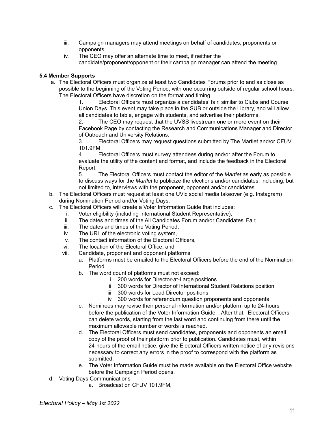- iii. Campaign managers may attend meetings on behalf of candidates, proponents or opponents.
- iv. The CEO may offer an alternate time to meet, if neither the candidate/proponent/opponent or their campaign manager can attend the meeting.

# <span id="page-11-0"></span>**5.4 Member Supports**

a. The Electoral Officers must organize at least two Candidates Forums prior to and as close as possible to the beginning of the Voting Period, with one occurring outside of regular school hours. The Electoral Officers have discretion on the format and timing.

1. Electoral Officers must organize a candidates' fair, similar to Clubs and Course Union Days. This event may take place in the SUB or outside the Library, and will allow all candidates to table, engage with students, and advertise their platforms.

2. The CEO may request that the UVSS livestream one or more event on their Facebook Page by contacting the Research and Communications Manager and Director of Outreach and University Relations.

3. Electoral Officers may request questions submitted by The Martlet and/or CFUV 101.9FM.

4. Electoral Officers must survey attendees during and/or after the Forum to evaluate the utility of the content and format, and include the feedback in the Electoral Report.

5. The Electoral Officers must contact the editor of the *Martlet* as early as possible to discuss ways for the *Martlet* to publicize the elections and/or candidates; including, but not limited to, interviews with the proponent, opponent and/or candidates.

- b. The Electoral Officers must request at least one UVic social media takeover (e.g. Instagram) during Nomination Period and/or Voting Days.
- c. The Electoral Officers will create a Voter Information Guide that includes:
	- i. Voter eligibility (including International Student Representative),
	- ii. The dates and times of the All Candidates Forum and/or Candidates' Fair,
	- iii. The dates and times of the Voting Period,
	- iv. The URL of the electronic voting system,
	- v. The contact information of the Electoral Officers,
	- vi. The location of the Electoral Office, and
	- vii. Candidate, proponent and opponent platforms
		- a. Platforms must be emailed to the Electoral Officers before the end of the Nomination Period.
		- b. The word count of platforms must not exceed:
			- i. 200 words for Director-at-Large positions
			- ii. 300 words for Director of International Student Relations position
			- iii. 300 words for Lead Director positions
			- iv. 300 words for referendum question proponents and opponents
		- c. Nominees may revise their personal information and/or platform up to 24-hours before the publication of the Voter Information Guide. . After that, Electoral Officers can delete words, starting from the last word and continuing from there until the maximum allowable number of words is reached.
		- d. The Electoral Officers must send candidates, proponents and opponents an email copy of the proof of their platform prior to publication. Candidates must, within 24-hours of the email notice, give the Electoral Officers written notice of any revisions necessary to correct any errors in the proof to correspond with the platform as submitted.
		- e. The Voter Information Guide must be made available on the Electoral Office website before the Campaign Period opens.
- d. Voting Days Communications
	- a. Broadcast on CFUV 101.9FM,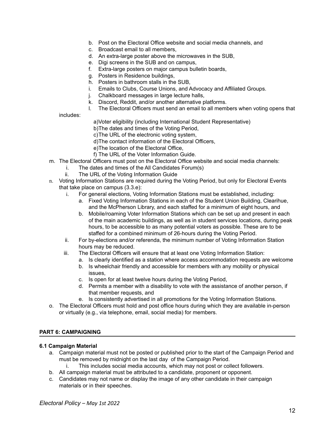- b. Post on the Electoral Office website and social media channels, and
- c. Broadcast email to all members,
- d. An extra-large poster above the microwaves in the SUB,
- e. Digi screens in the SUB and on campus,
- f. Extra-large posters on major campus bulletin boards,
- g. Posters in Residence buildings,
- h. Posters in bathroom stalls in the SUB,
- i. Emails to Clubs, Course Unions, and Advocacy and Affiliated Groups.
- j. Chalkboard messages in large lecture halls,
- k. Discord, Reddit, and/or another alternative platforms.
- l. The Electoral Officers must send an email to all members when voting opens that

includes:

a)Voter eligibility (including International Student Representative)

b)The dates and times of the Voting Period,

- c)The URL of the electronic voting system,
- d)The contact information of the Electoral Officers,
- e)The location of the Electoral Office,

f) The URL of the Voter Information Guide.

- m. The Electoral Officers must post on the Electoral Office website and social media channels:
	- i. The dates and times of the All Candidates Forum(s)
		- ii. The URL of the Voting Information Guide
- n. Voting Information Stations are required during the Voting Period, but only for Electoral Events that take place on campus (3.3.e):
	- i. For general elections, Voting Information Stations must be established, including:
		- a. Fixed Voting Information Stations in each of the Student Union Building, Clearihue, and the McPherson Library, and each staffed for a minimum of eight hours, and
		- b. Mobile/roaming Voter Information Stations which can be set up and present in each of the main academic buildings, as well as in student services locations, during peak hours, to be accessible to as many potential voters as possible. These are to be staffed for a combined minimum of 26-hours during the Voting Period.
	- ii. For by-elections and/or referenda, the minimum number of Voting Information Station hours may be reduced.
	- iii. The Electoral Officers will ensure that at least one Voting Information Station:
		- a. Is clearly identified as a station where access accommodation requests are welcome
		- b. Is wheelchair friendly and accessible for members with any mobility or physical issues,
		- c. Is open for at least twelve hours during the Voting Period,
		- d. Permits a member with a disability to vote with the assistance of another person, if that member requests, and
		- e. Is consistently advertised in all promotions for the Voting Information Stations.
- o. The Electoral Officers must hold and post office hours during which they are available in-person or virtually (e.g., via telephone, email, social media) for members.

#### <span id="page-12-0"></span>**PART 6: CAMPAIGNING**

#### <span id="page-12-1"></span>**6.1 Campaign Material**

- a. Campaign material must not be posted or published prior to the start of the Campaign Period and must be removed by midnight on the last day of the Campaign Period.
	- i. This includes social media accounts, which may not post or collect followers.
- b. All campaign material must be attributed to a candidate, proponent or opponent.
- c. Candidates may not name or display the image of any other candidate in their campaign materials or in their speeches.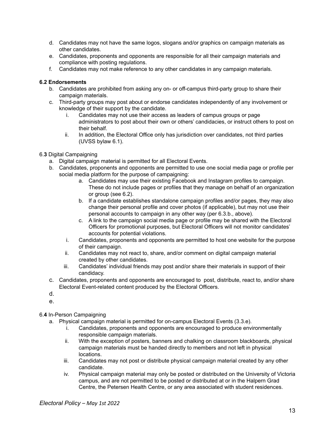- d. Candidates may not have the same logos, slogans and/or graphics on campaign materials as other candidates.
- e. Candidates, proponents and opponents are responsible for all their campaign materials and compliance with posting regulations.
- f. Candidates may not make reference to any other candidates in any campaign materials.

#### **6.2 Endorsements**

- b. Candidates are prohibited from asking any on- or off-campus third-party group to share their campaign materials.
- c. Third-party groups may post about or endorse candidates independently of any involvement or knowledge of their support by the candidate.
	- i. Candidates may not use their access as leaders of campus groups or page administrators to post about their own or others' candidacies, or instruct others to post on their behalf.
	- ii. In addition, the Electoral Office only has jurisdiction over candidates, not third parties (UVSS bylaw 6.1).

#### 6.**3** Digital Campaigning

- a. Digital campaign material is permitted for all Electoral Events.
- b. Candidates, proponents and opponents are permitted to use one social media page or profile per social media platform for the purpose of campaigning:
	- a. Candidates may use their existing Facebook and Instagram profiles to campaign. These do not include pages or profiles that they manage on behalf of an organization or group (see 6.2).
	- b. If a candidate establishes standalone campaign profiles and/or pages, they may also change their personal profile and cover photos (if applicable), but may not use their personal accounts to campaign in any other way (per 6.3.b., above).
	- c. A link to the campaign social media page or profile may be shared with the Electoral Officers for promotional purposes, but Electoral Officers will not monitor candidates' accounts for potential violations.
	- i. Candidates, proponents and opponents are permitted to host one website for the purpose of their campaign.
	- ii. Candidates may not react to, share, and/or comment on digital campaign material created by other candidates.
	- iii. Candidates' individual friends may post and/or share their materials in support of their candidacy.
- c. Candidates, proponents and opponents are encouraged to post, distribute, react to, and/or share Electoral Event-related content produced by the Electoral Officers.
- d.
- e.

# 6.**4** In-Person Campaigning

- a. Physical campaign material is permitted for on-campus Electoral Events (3.3.e).
	- i. Candidates, proponents and opponents are encouraged to produce environmentally responsible campaign materials.
	- ii. With the exception of posters, banners and chalking on classroom blackboards, physical campaign materials must be handed directly to members and not left in physical locations.
	- iii. Candidates may not post or distribute physical campaign material created by any other candidate.
	- iv. Physical campaign material may only be posted or distributed on the University of Victoria campus, and are not permitted to be posted or distributed at or in the Halpern Grad Centre, the Petersen Health Centre, or any area associated with student residences.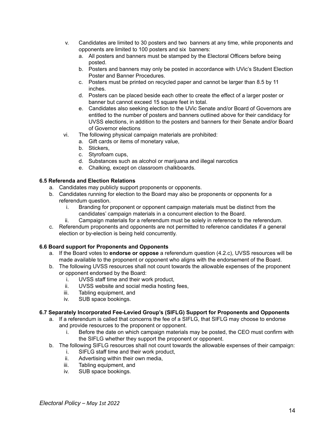- v. Candidates are limited to 30 posters and two banners at any time, while proponents and opponents are limited to 100 posters and six banners:
	- a. All posters and banners must be stamped by the Electoral Officers before being posted.
	- b. Posters and banners may only be posted in accordance with UVic's Student Election Poster and Banner Procedures.
	- c. Posters must be printed on recycled paper and cannot be larger than 8.5 by 11 inches.
	- d. Posters can be placed beside each other to create the effect of a larger poster or banner but cannot exceed 15 square feet in total.
	- e. Candidates also seeking election to the UVic Senate and/or Board of Governors are entitled to the number of posters and banners outlined above for their candidacy for UVSS elections, in addition to the posters and banners for their Senate and/or Board of Governor elections
- vi. The following physical campaign materials are prohibited:
	- a. Gift cards or items of monetary value,
		- b. Stickers,
		- c. Styrofoam cups,
		- d. Substances such as alcohol or marijuana and illegal narcotics
		- e. Chalking, except on classroom chalkboards.

# <span id="page-14-0"></span>**6.5 Referenda and Election Relations**

- a. Candidates may publicly support proponents or opponents.
- b. Candidates running for election to the Board may also be proponents or opponents for a referendum question.
	- i. Branding for proponent or opponent campaign materials must be distinct from the candidates' campaign materials in a concurrent election to the Board.
	- ii. Campaign materials for a referendum must be solely in reference to the referendum.
- c. Referendum proponents and opponents are not permitted to reference candidates if a general election or by-election is being held concurrently.

# <span id="page-14-1"></span>**6.6 Board support for Proponents and Opponents**

- a. If the Board votes to **endorse or oppose** a referendum question (4.2.c), UVSS resources will be made available to the proponent or opponent who aligns with the endorsement of the Board.
- b. The following UVSS resources shall not count towards the allowable expenses of the proponent or opponent endorsed by the Board:
	- i. UVSS staff time and their work product,
	- ii. UVSS website and social media hosting fees,
	- iii. Tabling equipment, and
	- iv. SUB space bookings.

# <span id="page-14-2"></span>**6.7 Separately Incorporated Fee-Levied Group's (SIFLG) Support for Proponents and Opponents**

- a. If a referendum is called that concerns the fee of a SIFLG, that SIFLG may choose to endorse and provide resources to the proponent or opponent.
	- i. Before the date on which campaign materials may be posted, the CEO must confirm with the SIFLG whether they support the proponent or opponent.
- b. The following SIFLG resources shall not count towards the allowable expenses of their campaign:
	- i. SIFLG staff time and their work product,
	- ii. Advertising within their own media,
	- iii. Tabling equipment, and
	- iv. SUB space bookings.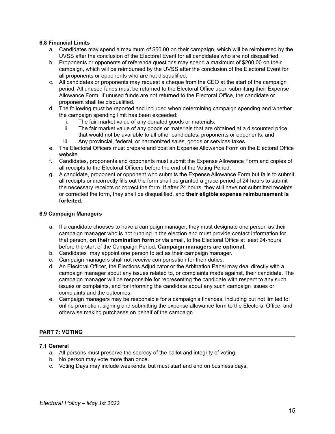# <span id="page-15-0"></span>**6.8 Financial Limits**

- a. Candidates may spend a maximum of \$50.00 on their campaign, which will be reimbursed by the UVSS after the conclusion of the Electoral Event for all candidates who are not disqualified.
- b. Proponents or opponents of referenda questions may spend a maximum of \$200.00 on their campaign, which will be reimbursed by the UVSS after the conclusion of the Electoral Event for all proponents or opponents who are not disqualified.
- c. All candidates or proponents may request a cheque from the CEO at the start of the campaign period. All unused funds must be returned to the Electoral Office upon submitting their Expense Allowance Form. If unused funds are not returned to the Electoral Office, the candidate or proponent shall be disqualified.
- d. The following must be reported and included when determining campaign spending and whether the campaign spending limit has been exceeded:
	- i. The fair market value of any donated goods or materials,
	- ii. The fair market value of any goods or materials that are obtained at a discounted price that would not be available to all other candidates, proponents or opponents, and
	- iii. Any provincial, federal, or harmonized sales, goods or services taxes.
- e. The Electoral Officers must prepare and post an Expense Allowance Form on the Electoral Office website.
- f. Candidates, proponents and opponents must submit the Expense Allowance Form and copies of all receipts to the Electoral Officers before the end of the Voting Period.
- g. A candidate, proponent or opponent who submits the Expense Allowance Form but fails to submit all receipts or incorrectly fills out the form shall be granted a grace period of 24 hours to submit the necessary receipts or correct the form. If after 24 hours, they still have not submitted receipts or corrected the form, they shall be disqualified, and **their eligible expense reimbursement is forfeited**.

#### <span id="page-15-1"></span>**6.9 Campaign Managers**

- a. If a candidate chooses to have a campaign manager, they must designate one person as their campaign manager who is not running in the election and must provide contact information for that person, **on their nomination form** or via email, to the Electoral Office at least 24-hours before the start of the Campaign Period. **Campaign managers are optional.**
- b. Candidates may appoint one person to act as their campaign manager.
- c. Campaign managers shall not receive compensation for their duties.
- d. An Electoral Officer, the Elections Adjudicator or the Arbitration Panel may deal directly with a campaign manager about any issues related to, or complaints made against, their candidate. The campaign manager will be responsible for representing the candidate with respect to any such issues or complaints, and for informing the candidate about any such campaign issues or complaints and the outcomes.
- e. Campaign managers may be responsible for a campaign's finances, including but not limited to: online promotion, signing and submitting the expense allowance form to the Electoral Office, and otherwise making purchases on behalf of the campaign.

# <span id="page-15-2"></span>**PART 7: VOTING**

#### <span id="page-15-3"></span>**7.1 General**

- a. All persons must preserve the secrecy of the ballot and integrity of voting.
- b. No person may vote more than once.
- c. Voting Days may include weekends, but must start and end on business days.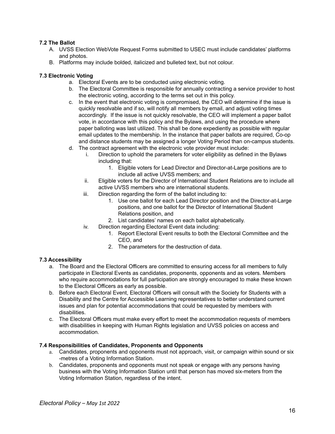# <span id="page-16-0"></span>**7.2 The Ballot**

- A. UVSS Election WebVote Request Forms submitted to USEC must include candidates' platforms and photos.
- B. Platforms may include bolded, italicized and bulleted text, but not colour.

# <span id="page-16-1"></span>**7.3 Electronic Voting**

- a. Electoral Events are to be conducted using electronic voting.
- b. The Electoral Committee is responsible for annually contracting a service provider to host the electronic voting, according to the terms set out in this policy.
- c. In the event that electronic voting is compromised, the CEO will determine if the issue is quickly resolvable and if so, will notify all members by email, and adjust voting times accordingly. If the issue is not quickly resolvable, the CEO will implement a paper ballot vote, in accordance with this policy and the Bylaws, and using the procedure where paper balloting was last utilized. This shall be done expediently as possible with regular email updates to the membership. In the instance that paper ballots are required, Co-op and distance students may be assigned a longer Voting Period than on-campus students.
- d. The contract agreement with the electronic vote provider must include:
	- i. Direction to uphold the parameters for voter eligibility as defined in the Bylaws including that:
		- 1. Eligible voters for Lead Director and Director-at-Large positions are to include all active UVSS members; and
	- ii. Eligible voters for the Director of International Student Relations are to include all active UVSS members who are international students.
	- iii. Direction regarding the form of the ballot including to:
		- 1. Use one ballot for each Lead Director position and the Director-at-Large positions, and one ballot for the Director of International Student Relations position, and
		- 2. List candidates' names on each ballot alphabetically.
	- iv. Direction regarding Electoral Event data including:
		- 1. Report Electoral Event results to both the Electoral Committee and the CEO, and
		- 2. The parameters for the destruction of data.

# <span id="page-16-2"></span>**7.3 Accessibility**

- a. The Board and the Electoral Officers are committed to ensuring access for all members to fully participate in Electoral Events as candidates, proponents, opponents and as voters. Members who require accommodations for full participation are strongly encouraged to make these known to the Electoral Officers as early as possible.
- b. Before each Electoral Event, Electoral Officers will consult with the Society for Students with a Disability and the Centre for Accessible Learning representatives to better understand current issues and plan for potential accommodations that could be requested by members with disabilities.
- c. The Electoral Officers must make every effort to meet the accommodation requests of members with disabilities in keeping with Human Rights legislation and UVSS policies on access and accommodation.

# <span id="page-16-3"></span>**7.4 Responsibilities of Candidates, Proponents and Opponents**

- a. Candidates, proponents and opponents must not approach, visit, or campaign within sound or six -metres of a Voting Information Station.
- b. Candidates, proponents and opponents must not speak or engage with any persons having business with the Voting Information Station until that person has moved six-meters from the Voting Information Station, regardless of the intent.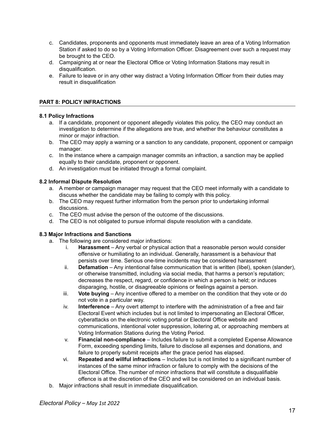- c. Candidates, proponents and opponents must immediately leave an area of a Voting Information Station if asked to do so by a Voting Information Officer. Disagreement over such a request may be brought to the CEO.
- d. Campaigning at or near the Electoral Office or Voting Information Stations may result in disqualification.
- e. Failure to leave or in any other way distract a Voting Information Officer from their duties may result in disqualification

# <span id="page-17-0"></span>**PART 8: POLICY INFRACTIONS**

# <span id="page-17-1"></span>**8.1 Policy Infractions**

- a. If a candidate, proponent or opponent allegedly violates this policy, the CEO may conduct an investigation to determine if the allegations are true, and whether the behaviour constitutes a minor or major infraction.
- b. The CEO may apply a warning or a sanction to any candidate, proponent, opponent or campaign manager.
- c. In the instance where a campaign manager commits an infraction, a sanction may be applied equally to their candidate, proponent or opponent.
- d. An investigation must be initiated through a formal complaint.

# <span id="page-17-2"></span>**8.2 Informal Dispute Resolution**

- a. A member or campaign manager may request that the CEO meet informally with a candidate to discuss whether the candidate may be failing to comply with this policy.
- b. The CEO may request further information from the person prior to undertaking informal discussions.
- c. The CEO must advise the person of the outcome of the discussions.
- d. The CEO is not obligated to pursue informal dispute resolution with a candidate.

# <span id="page-17-3"></span>**8.3 Major Infractions and Sanctions**

- a. The following are considered major infractions:
	- i. **Harassment** Any verbal or physical action that a reasonable person would consider offensive or humiliating to an individual. Generally, harassment is a behaviour that persists over time. Serious one-time incidents may be considered harassment
	- ii. **Defamation** Any intentional false communication that is written (libel), spoken (slander), or otherwise transmitted, including via social media, that harms a person's reputation; decreases the respect, regard, or confidence in which a person is held; or induces disparaging, hostile, or disagreeable opinions or feelings against a person.
	- iii. **Vote buying** Any incentive offered to a member on the condition that they vote or do not vote in a particular way.
	- iv. **Interference** Any overt attempt to interfere with the administration of a free and fair Electoral Event which includes but is not limited to impersonating an Electoral Officer, cyberattacks on the electronic voting portal or Electoral Office website and communications, intentional voter suppression, loitering at, or approaching members at Voting Information Stations during the Voting Period.
	- v. **Financial non-compliance** Includes failure to submit a completed Expense Allowance Form, exceeding spending limits, failure to disclose all expenses and donations, and failure to properly submit receipts after the grace period has elapsed.
	- vi. **Repeated and willful infractions** Includes but is not limited to a significant number of instances of the same minor infraction or failure to comply with the decisions of the Electoral Office. The number of minor infractions that will constitute a disqualifiable offence is at the discretion of the CEO and will be considered on an individual basis.
- b. Major infractions shall result in immediate disqualification.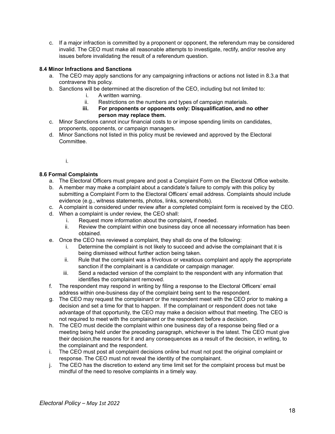c. If a major infraction is committed by a proponent or opponent, the referendum may be considered invalid. The CEO must make all reasonable attempts to investigate, rectify, and/or resolve any issues before invalidating the result of a referendum question.

# <span id="page-18-0"></span>**8.4 Minor Infractions and Sanctions**

- a. The CEO may apply sanctions for any campaigning infractions or actions not listed in 8.3.a that contravene this policy.
- b. Sanctions will be determined at the discretion of the CEO, including but not limited to:
	- i. A written warning.
	- ii. Restrictions on the numbers and types of campaign materials.
	- **iii. For proponents or opponents only: Disqualification, and no other person may replace them.**
- c. Minor Sanctions cannot incur financial costs to or impose spending limits on candidates, proponents, opponents, or campaign managers.
- d. Minor Sanctions not listed in this policy must be reviewed and approved by the Electoral Committee.
	- i.

# <span id="page-18-1"></span>**8.6 Formal Complaints**

- a. The Electoral Officers must prepare and post a Complaint Form on the Electoral Office website.
- b. A member may make a complaint about a candidate's failure to comply with this policy by submitting a Complaint Form to the Electoral Officers' email address. Complaints should include evidence (e.g., witness statements, photos, links, screenshots).
- c. A complaint is considered under review after a completed complaint form is received by the CEO.
- d. When a complaint is under review, the CEO shall:
	- i. Request more information about the complaint**,** if needed.
	- ii. Review the complaint within one business day once all necessary information has been obtained.
- e. Once the CEO has reviewed a complaint, they shall do one of the following:
	- i. Determine the complaint is not likely to succeed and advise the complainant that it is being dismissed without further action being taken.
	- ii. Rule that the complaint was a frivolous or vexatious complaint and apply the appropriate sanction if the complainant is a candidate or campaign manager.
	- iii. Send a redacted version of the complaint to the respondent with any information that identifies the complainant removed.
- f. The respondent may respond in writing by filing a response to the Electoral Officers' email address within one-business day of the complaint being sent to the respondent.
- g. The CEO may request the complainant or the respondent meet with the CEO prior to making a decision and set a time for that to happen. If the complainant or respondent does not take advantage of that opportunity, the CEO may make a decision without that meeting. The CEO is not required to meet with the complainant or the respondent before a decision.
- h. The CEO must decide the complaint within one business day of a response being filed or a meeting being held under the preceding paragraph, whichever is the latest. The CEO must give their decision,the reasons for it and any consequences as a result of the decision, in writing, to the complainant and the respondent.
- i. The CEO must post all complaint decisions online but must not post the original complaint or response. The CEO must not reveal the identity of the complainant.
- j. The CEO has the discretion to extend any time limit set for the complaint process but must be mindful of the need to resolve complaints in a timely way.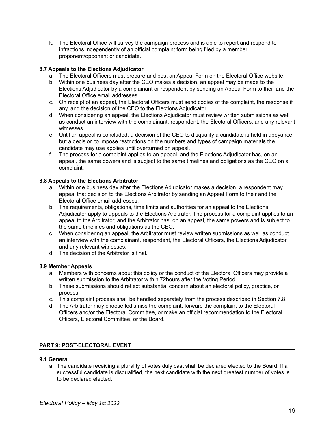k. The Electoral Office will survey the campaign process and is able to report and respond to infractions independently of an official complaint form being filed by a member, proponent/opponent or candidate.

# <span id="page-19-0"></span>**8.7 Appeals to the Elections Adjudicator**

- a. The Electoral Officers must prepare and post an Appeal Form on the Electoral Office website.
- b. Within one business day after the CEO makes a decision, an appeal may be made to the Elections Adjudicator by a complainant or respondent by sending an Appeal Form to their and the Electoral Office email addresses.
- c. On receipt of an appeal, the Electoral Officers must send copies of the complaint, the response if any, and the decision of the CEO to the Elections Adjudicator.
- d. When considering an appeal, the Elections Adjudicator must review written submissions as well as conduct an interview with the complainant, respondent, the Electoral Officers, and any relevant witnesses.
- e. Until an appeal is concluded, a decision of the CEO to disqualify a candidate is held in abeyance, but a decision to impose restrictions on the numbers and types of campaign materials the candidate may use applies until overturned on appeal.
- f. The process for a complaint applies to an appeal, and the Elections Adjudicator has, on an appeal, the same powers and is subject to the same timelines and obligations as the CEO on a complaint.

# <span id="page-19-1"></span>**8.8 Appeals to the Elections Arbitrator**

- a. Within one business day after the Elections Adjudicator makes a decision, a respondent may appeal that decision to the Elections Arbitrator by sending an Appeal Form to their and the Electoral Office email addresses.
- b. The requirements, obligations, time limits and authorities for an appeal to the Elections Adjudicator apply to appeals to the Elections Arbitrator. The process for a complaint applies to an appeal to the Arbitrator, and the Arbitrator has, on an appeal, the same powers and is subject to the same timelines and obligations as the CEO.
- c. When considering an appeal, the Arbitrator must review written submissions as well as conduct an interview with the complainant, respondent, the Electoral Officers, the Elections Adjudicator and any relevant witnesses.
- d. The decision of the Arbitrator is final.

# <span id="page-19-2"></span>**8.9 Member Appeals**

- a. Members with concerns about this policy or the conduct of the Electoral Officers may provide a written submission to the Arbitrator within 72hours after the Voting Period.
- b. These submissions should reflect substantial concern about an electoral policy, practice, or process.
- c. This complaint process shall be handled separately from the process described in Section 7.8.
- d. The Arbitrator may choose todismiss the complaint, forward the complaint to the Electoral Officers and/or the Electoral Committee, or make an official recommendation to the Electoral Officers, Electoral Committee, or the Board.

# <span id="page-19-3"></span>**PART 9: POST-ELECTORAL EVENT**

#### <span id="page-19-4"></span>**9.1 General**

a. The candidate receiving a plurality of votes duly cast shall be declared elected to the Board. If a successful candidate is disqualified, the next candidate with the next greatest number of votes is to be declared elected.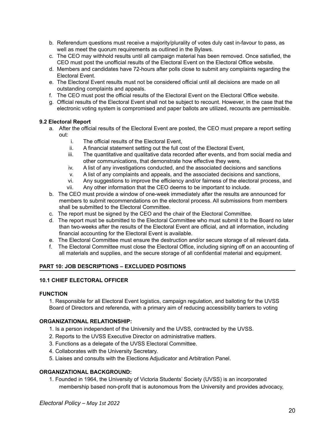- b. Referendum questions must receive a majority/plurality of votes duly cast in-favour to pass, as well as meet the quorum requirements as outlined in the Bylaws.
- c. The CEO may withhold results until all campaign material has been removed. Once satisfied, the CEO must post the unofficial results of the Electoral Event on the Electoral Office website.
- d. Members and candidates have 72-hours after polls close to submit any complaints regarding the Electoral Event.
- e. The Electoral Event results must not be considered official until all decisions are made on all outstanding complaints and appeals.
- f. The CEO must post the official results of the Electoral Event on the Electoral Office website.
- g. Official results of the Electoral Event shall not be subject to recount. However, in the case that the electronic voting system is compromised and paper ballots are utilized, recounts are permissible.

# <span id="page-20-0"></span>**9.2 Electoral Report**

- a. After the official results of the Electoral Event are posted, the CEO must prepare a report setting out:
	- i. The official results of the Electoral Event,
	- ii. A financial statement setting out the full cost of the Electoral Event,
	- iii. The quantitative and qualitative data recorded after events, and from social media and other communications, that demonstrate how effective they were,
	- iv. A list of any investigations conducted, and the associated decisions and sanctions
	- v. A list of any complaints and appeals, and the associated decisions and sanctions,
	- vi. Any suggestions to improve the efficiency and/or fairness of the electoral process, and vii. Any other information that the CEO deems to be important to include.
- b. The CEO must provide a window of one-week immediately after the results are announced for members to submit recommendations on the electoral process. All submissions from members shall be submitted to the Electoral Committee.
- c. The report must be signed by the CEO and the chair of the Electoral Committee.
- d. The report must be submitted to the Electoral Committee who must submit it to the Board no later than two-weeks after the results of the Electoral Event are official, and all information, including financial accounting for the Electoral Event is available.
- e. The Electoral Committee must ensure the destruction and/or secure storage of all relevant data.
- f. The Electoral Committee must close the Electoral Office, including signing off on an accounting of all materials and supplies, and the secure storage of all confidential material and equipment.

# <span id="page-20-1"></span>**PART 10: JOB DESCRIPTIONS – EXCLUDED POSITIONS**

# **10.1 CHIEF ELECTORAL OFFICER**

# **FUNCTION**

1. Responsible for all Electoral Event logistics, campaign regulation, and balloting for the UVSS Board of Directors and referenda, with a primary aim of reducing accessibility barriers to voting

# **ORGANIZATIONAL RELATIONSHIP:**

- 1. Is a person independent of the University and the UVSS, contracted by the UVSS.
- 2. Reports to the UVSS Executive Director on administrative matters.
- 3. Functions as a delegate of the UVSS Electoral Committee.
- 4. Collaborates with the University Secretary.
- 5. Liaises and consults with the Elections Adjudicator and Arbitration Panel.

# **ORGANIZATIONAL BACKGROUND:**

1. Founded in 1964, the University of Victoria Students' Society (UVSS) is an incorporated membership based non-profit that is autonomous from the University and provides advocacy,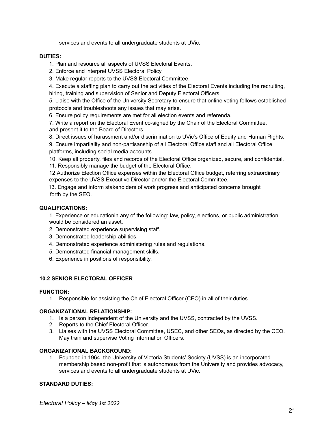services and events to all undergraduate students at UVic**.**

#### **DUTIES:**

1. Plan and resource all aspects of UVSS Electoral Events.

- 2. Enforce and interpret UVSS Electoral Policy.
- 3. Make regular reports to the UVSS Electoral Committee.

4. Execute a staffing plan to carry out the activities of the Electoral Events including the recruiting, hiring, training and supervision of Senior and Deputy Electoral Officers.

5. Liaise with the Office of the University Secretary to ensure that online voting follows established protocols and troubleshoots any issues that may arise.

6. Ensure policy requirements are met for all election events and referenda.

7. Write a report on the Electoral Event co-signed by the Chair of the Electoral Committee, and present it to the Board of Directors,

8. Direct issues of harassment and/or discrimination to UVic's Office of Equity and Human Rights. 9. Ensure impartiality and non-partisanship of all Electoral Office staff and all Electoral Office platforms, including social media accounts.

10. Keep all property, files and records of the Electoral Office organized, secure, and confidential. 11. Responsibly manage the budget of the Electoral Office.

12.Authorize Election Office expenses within the Electoral Office budget, referring extraordinary expenses to the UVSS Executive Director and/or the Electoral Committee.

13. Engage and inform stakeholders of work progress and anticipated concerns brought forth by the SEO.

# **QUALIFICATIONS:**

1. Experience or educationin any of the following: law, policy, elections, or public administration, would be considered an asset.

- 2. Demonstrated experience supervising staff.
- 3. Demonstrated leadership abilities.
- 4. Demonstrated experience administering rules and regulations.
- 5. Demonstrated financial management skills.
- 6. Experience in positions of responsibility.

# **10.2 SENIOR ELECTORAL OFFICER**

# **FUNCTION:**

1. Responsible for assisting the Chief Electoral Officer (CEO) in all of their duties.

# **ORGANIZATIONAL RELATIONSHIP:**

- 1. Is a person independent of the University and the UVSS, contracted by the UVSS.
- 2. Reports to the Chief Electoral Officer.
- 3. Liaises with the UVSS Electoral Committee, USEC, and other SEOs, as directed by the CEO. May train and supervise Voting Information Officers.

# **ORGANIZATIONAL BACKGROUND:**

1. Founded in 1964, the University of Victoria Students' Society (UVSS) is an incorporated membership based non-profit that is autonomous from the University and provides advocacy, services and events to all undergraduate students at UVic.

# **STANDARD DUTIES:**

*Electoral Policy – May 1st 2022*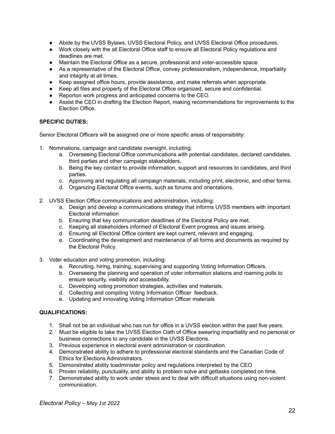- Abide by the UVSS Bylaws, UVSS Electoral Policy, and UVSS Electoral Office procedures.
- Work closely with the all Electoral Office staff to ensure all Electoral Policy regulations and deadlines are met.
- Maintain the Electoral Office as a secure, professional and voter-accessible space.
- As a representative of the Electoral Office, convey professionalism, independence, impartiality and integrity at all times.
- Keep assigned office hours, provide assistance, and make referrals when appropriate.
- Keep all files and property of the Electoral Office organized, secure and confidential.
- Reporton work progress and anticipated concerns to the CEO.
- Assist the CEO in drafting the Election Report, making recommendations for improvements to the Election Office.

#### **SPECIFIC DUTIES:**

Senior Electoral Officers will be assigned one or more specific areas of responsibility:

- 1. Nominations, campaign and candidate oversight, including:
	- a. Overseeing Electoral Office communications with potential candidates, declared candidates, third parties and other campaign stakeholders.
	- b. Being the key contact to provide information, support and resources to candidates, and third parties.
	- c. Approving and regulating all campaign materials, including print, electronic, and other forms.
	- d. Organizing Electoral Office events, such as forums and orientations.
- 2. UVSS Election Office communications and administration, including:
	- a. Design and develop a communications strategy that informs UVSS members with important Electoral information
	- b. Ensuring that key communication deadlines of the Electoral Policy are met.
	- c. Keeping all stakeholders informed of Electoral Event progress and issues arising.
	- d. Ensuring all Electoral Office content are kept current, relevant and engaging.
	- e. Coordinating the development and maintenance of all forms and documents as required by the Electoral Policy.
- 3. Voter education and voting promotion, including:
	- a. Recruiting, hiring, training, supervising and supporting Voting Information Officers.
	- b. Overseeing the planning and operation of voter information stations and roaming polls to ensure security, visibility and accessibility.
	- c. Developing voting promotion strategies, activities and materials.
	- d. Collecting and compiling Voting Information Officer feedback.
	- e. Updating and innovating Voting Information Officer materials

#### **QUALIFICATIONS:**

- 1. Shall not be an individual who has run for office in a UVSS election within the past five years.
- 2. Must be eligible to take the UVSS Election Oath of Office swearing impartiality and no personal or business connections to any candidate in the UVSS Elections.
- 3. Previous experience in electoral event administration or coordination.
- 4. Demonstrated ability to adhere to professional electoral standards and the Canadian Code of Ethics for Elections Administrators.
- 5. Demonstrated ability toadminister policy and regulations interpreted by the CEO
- 6. Proven reliability, punctuality, and ability to problem solve and gettasks completed on time.
- 7. Demonstrated ability to work under stress and to deal with difficult situations using non-violent communication.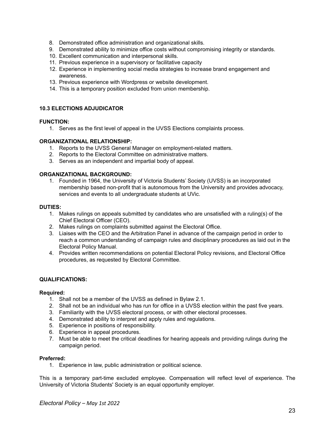- 8. Demonstrated office administration and organizational skills.
- 9. Demonstrated ability to minimize office costs without compromising integrity or standards.
- 10. Excellent communication and interpersonal skills.
- 11. Previous experience in a supervisory or facilitative capacity
- 12. Experience in implementing social media strategies to increase brand engagement and awareness.
- 13. Previous experience with Wordpress or website development.
- 14. This is a temporary position excluded from union membership.

#### **10.3 ELECTIONS ADJUDICATOR**

#### **FUNCTION:**

1. Serves as the first level of appeal in the UVSS Elections complaints process.

#### **ORGANIZATIONAL RELATIONSHIP:**

- 1. Reports to the UVSS General Manager on employment-related matters.
- 2. Reports to the Electoral Committee on administrative matters.
- 3. Serves as an independent and impartial body of appeal.

#### **ORGANIZATIONAL BACKGROUND:**

1. Founded in 1964, the University of Victoria Students' Society (UVSS) is an incorporated membership based non-profit that is autonomous from the University and provides advocacy, services and events to all undergraduate students at UVic.

#### **DUTIES:**

- 1. Makes rulings on appeals submitted by candidates who are unsatisfied with a ruling(s) of the Chief Electoral Officer (CEO).
- 2. Makes rulings on complaints submitted against the Electoral Office.
- 3. Liaises with the CEO and the Arbitration Panel in advance of the campaign period in order to reach a common understanding of campaign rules and disciplinary procedures as laid out in the Electoral Policy Manual.
- 4. Provides written recommendations on potential Electoral Policy revisions, and Electoral Office procedures, as requested by Electoral Committee.

# **QUALIFICATIONS:**

#### **Required:**

- 1. Shall not be a member of the UVSS as defined in Bylaw 2.1.
- 2. Shall not be an individual who has run for office in a UVSS election within the past five years.
- 3. Familiarity with the UVSS electoral process, or with other electoral processes.
- 4. Demonstrated ability to interpret and apply rules and regulations.
- 5. Experience in positions of responsibility.
- 6. Experience in appeal procedures.
- 7. Must be able to meet the critical deadlines for hearing appeals and providing rulings during the campaign period.

#### **Preferred:**

1. Experience in law, public administration or political science.

This is a temporary part-time excluded employee. Compensation will reflect level of experience. The University of Victoria Students' Society is an equal opportunity employer.